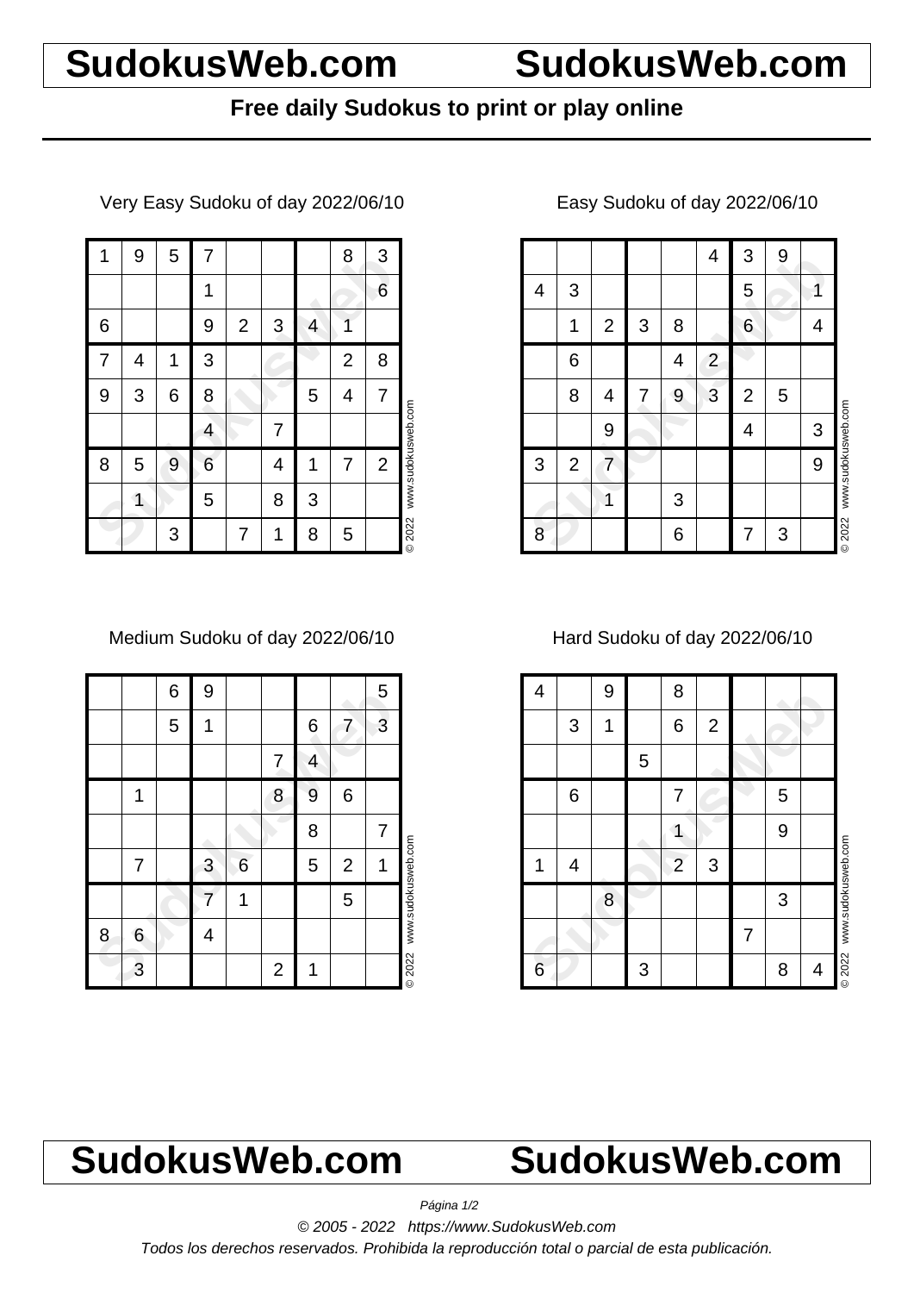# **SudokusWeb.com SudokusWeb.com**

## **Free daily Sudokus to print or play online**

Very Easy Sudoku of day 2022/06/10

| 1 | 9 | 5 | 7 |                |   |   | 8              | 3              |                    |
|---|---|---|---|----------------|---|---|----------------|----------------|--------------------|
|   |   |   | 1 |                |   |   |                | 6              |                    |
| 6 |   |   | 9 | $\overline{2}$ | 3 | 4 | 1              |                |                    |
| 7 | 4 | 1 | 3 |                |   |   | $\overline{2}$ | 8              |                    |
| 9 | 3 | 6 | 8 |                |   | 5 | 4              | 7              |                    |
|   |   |   | 4 |                | 7 |   |                |                |                    |
| 8 | 5 | 9 | 6 |                | 4 | 1 | 7              | $\overline{2}$ | www.sudokusweb.com |
|   | 1 |   | 5 |                | 8 | 3 |                |                |                    |
|   |   | 3 |   | 7              | 1 | 8 | 5              |                | © 2022             |

Medium Sudoku of day 2022/06/10

|   |   | 6 | 9 |   |                |   |                | 5 |                    |
|---|---|---|---|---|----------------|---|----------------|---|--------------------|
|   |   | 5 | 1 |   |                | 6 | 7              | 3 |                    |
|   |   |   |   |   | 7              | 4 |                |   |                    |
|   | 1 |   |   |   | 8              | 9 | 6              |   |                    |
|   |   |   |   |   |                | 8 |                | 7 |                    |
|   | 7 |   | 3 | 6 |                | 5 | $\overline{2}$ | 1 |                    |
|   |   |   |   |   |                |   | 5              |   | www.sudokusweb.com |
| 8 | 6 |   | 4 |   |                |   |                |   |                    |
|   | 3 |   |   |   | $\overline{2}$ | 1 |                |   | © 2022             |

### 4 3 9<br>
4 3 9<br>
1 2 3 8 6 4<br>
6 4 2<br>
8 4 7 9 3 2 5<br>
9 4 3<br>
9 4 3<br>
9 4 3<br>
9 6 7 3  $4 \mid 3 \mid 9$ 4 3 | | | | | 5 | | | 1 1 2 3 8 6 6 4 6 | | | 4 | 2 8 4 7 9 3 2 5 9 4 4 3 3 2 7 9 1 | 13 8 7 3 © 2022 www.sudokusweb.com

### Easy Sudoku of day 2022/06/10

Hard Sudoku of day 2022/06/10

| 4 |   | 9 |   | 8               |                |   |   |   |                    |
|---|---|---|---|-----------------|----------------|---|---|---|--------------------|
|   | 3 | 1 |   | $6\phantom{1}6$ | $\overline{2}$ |   |   |   |                    |
|   |   |   | 5 |                 |                |   |   |   |                    |
|   | 6 |   |   | 7               |                |   | 5 |   |                    |
|   |   |   |   |                 |                |   | 9 |   |                    |
| 1 | 4 |   |   | $\overline{2}$  | 3              |   |   |   |                    |
|   |   | 8 |   |                 |                |   | 3 |   | www.sudokusweb.com |
|   |   |   |   |                 |                | 7 |   |   |                    |
| 6 |   |   | 3 |                 |                |   | 8 | 4 | <b>©2022</b>       |

# **SudokusWeb.com SudokusWeb.com**

Página 1/2

© 2005 - 2022 https://www.SudokusWeb.com

Todos los derechos reservados. Prohibida la reproducción total o parcial de esta publicación.